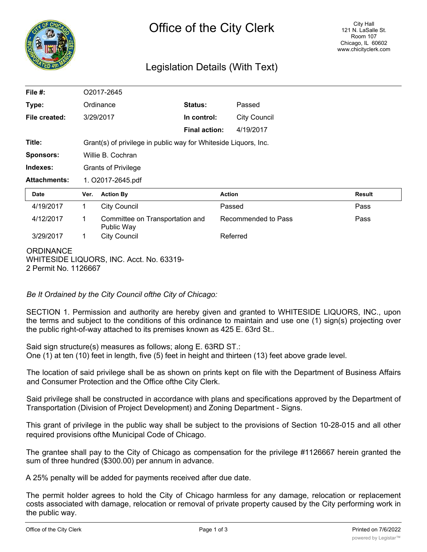

# Legislation Details (With Text)

| File #:             |                            | O2017-2645                                                      |                      |                     |               |  |
|---------------------|----------------------------|-----------------------------------------------------------------|----------------------|---------------------|---------------|--|
| Type:               |                            | Ordinance                                                       | Status:              | Passed              |               |  |
| File created:       | 3/29/2017                  |                                                                 | In control:          | <b>City Council</b> |               |  |
|                     |                            |                                                                 | <b>Final action:</b> | 4/19/2017           |               |  |
| Title:              |                            | Grant(s) of privilege in public way for Whiteside Liquors, Inc. |                      |                     |               |  |
| <b>Sponsors:</b>    |                            | Willie B. Cochran                                               |                      |                     |               |  |
| Indexes:            | <b>Grants of Privilege</b> |                                                                 |                      |                     |               |  |
| <b>Attachments:</b> | 1. O2017-2645.pdf          |                                                                 |                      |                     |               |  |
| Date                | Ver.                       | <b>Action By</b>                                                |                      | <b>Action</b>       | <b>Result</b> |  |
| 4/19/2017           | 1                          | <b>City Council</b>                                             |                      | Passed              | Pass          |  |
| 4/12/2017           | 1                          | Committee on Transportation and<br>Public Way                   |                      | Recommended to Pass | Pass          |  |
| 3/29/2017           | 1                          | <b>City Council</b>                                             |                      | Referred            |               |  |
| <b>ORDINANCE</b>    |                            | WHITESIDE LIQUORS, INC. Acct. No. 63319-                        |                      |                     |               |  |

2 Permit No. 1126667

## *Be It Ordained by the City Council ofthe City of Chicago:*

SECTION 1. Permission and authority are hereby given and granted to WHITESIDE LIQUORS, INC., upon the terms and subject to the conditions of this ordinance to maintain and use one (1) sign(s) projecting over the public right-of-way attached to its premises known as 425 E. 63rd St..

Said sign structure(s) measures as follows; along E. 63RD ST.: One (1) at ten (10) feet in length, five (5) feet in height and thirteen (13) feet above grade level.

The location of said privilege shall be as shown on prints kept on file with the Department of Business Affairs and Consumer Protection and the Office ofthe City Clerk.

Said privilege shall be constructed in accordance with plans and specifications approved by the Department of Transportation (Division of Project Development) and Zoning Department - Signs.

This grant of privilege in the public way shall be subject to the provisions of Section 10-28-015 and all other required provisions ofthe Municipal Code of Chicago.

The grantee shall pay to the City of Chicago as compensation for the privilege #1126667 herein granted the sum of three hundred (\$300.00) per annum in advance.

A 25% penalty will be added for payments received after due date.

The permit holder agrees to hold the City of Chicago harmless for any damage, relocation or replacement costs associated with damage, relocation or removal of private property caused by the City performing work in the public way.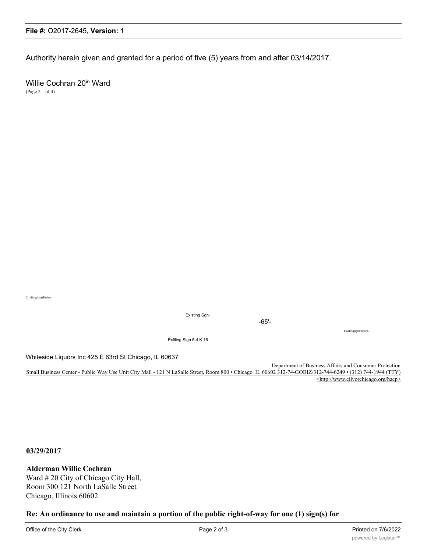Authority herein given and granted for a period of five (5) years from and after 03/14/2017.

Willie Cochran 20<sup>in</sup> Ward (Page 2 of 4)

CrnSlmg LiortFertjrc-

Existing Sgn~

-65'-

EwsbngUghlFixtore-

Exfiling Sign 5-4 K 16

Whiteside Liquors Inc 425 E 63rd St Chicago, IL 60637

Department of Business Affairs and Consumer Protection Small Business Center - Public Way Use Unit City Mall - 121 N LaSalle Street, Room 800 • Chicago. IL 60602 312-74-GOBIZ/312-744-6249 • (312) 744-1944 (TTY) <http://www.cilvorchicago.org/hacp>

**03/29/2017**

**Alderman Willie Cochran**

Ward # 20 City of Chicago City Hall, Room 300 121 North LaSalle Street Chicago, Illinois 60602

**Re: An ordinance to use and maintain a portion of the public right-of-way for one (1) sign(s) for**